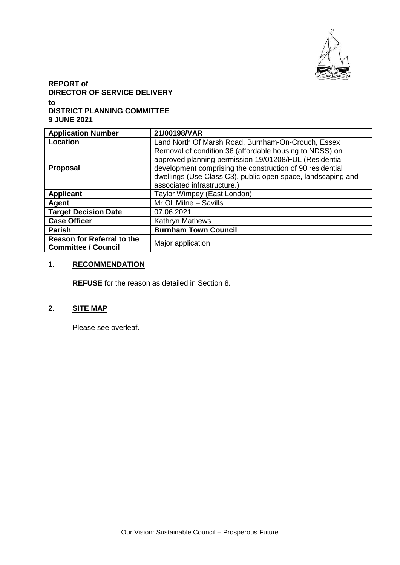

# **REPORT of DIRECTOR OF SERVICE DELIVERY**

**to DISTRICT PLANNING COMMITTEE 9 JUNE 2021**

| <b>Application Number</b>                                       | 21/00198/VAR                                                                                                                                                                                                                                                                  |  |  |
|-----------------------------------------------------------------|-------------------------------------------------------------------------------------------------------------------------------------------------------------------------------------------------------------------------------------------------------------------------------|--|--|
| Location                                                        | Land North Of Marsh Road, Burnham-On-Crouch, Essex                                                                                                                                                                                                                            |  |  |
| <b>Proposal</b>                                                 | Removal of condition 36 (affordable housing to NDSS) on<br>approved planning permission 19/01208/FUL (Residential<br>development comprising the construction of 90 residential<br>dwellings (Use Class C3), public open space, landscaping and<br>associated infrastructure.) |  |  |
| <b>Applicant</b>                                                | Taylor Wimpey (East London)                                                                                                                                                                                                                                                   |  |  |
| <b>Agent</b>                                                    | Mr Oli Milne - Savills                                                                                                                                                                                                                                                        |  |  |
| <b>Target Decision Date</b>                                     | 07.06.2021                                                                                                                                                                                                                                                                    |  |  |
| <b>Case Officer</b>                                             | <b>Kathryn Mathews</b>                                                                                                                                                                                                                                                        |  |  |
| <b>Parish</b>                                                   | <b>Burnham Town Council</b>                                                                                                                                                                                                                                                   |  |  |
| <b>Reason for Referral to the</b><br><b>Committee / Council</b> | Major application                                                                                                                                                                                                                                                             |  |  |

# **1. RECOMMENDATION**

**REFUSE** for the reason as detailed in Section 8.

# **2. SITE MAP**

Please see overleaf.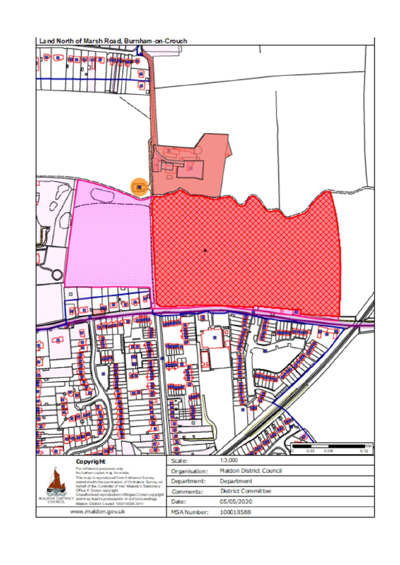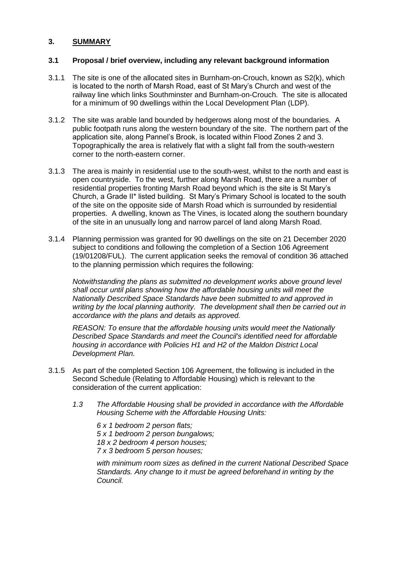### **3. SUMMARY**

#### **3.1 Proposal / brief overview, including any relevant background information**

- 3.1.1 The site is one of the allocated sites in Burnham-on-Crouch, known as S2(k), which is located to the north of Marsh Road, east of St Mary's Church and west of the railway line which links Southminster and Burnham-on-Crouch. The site is allocated for a minimum of 90 dwellings within the Local Development Plan (LDP).
- 3.1.2 The site was arable land bounded by hedgerows along most of the boundaries. A public footpath runs along the western boundary of the site. The northern part of the application site, along Pannel's Brook, is located within Flood Zones 2 and 3. Topographically the area is relatively flat with a slight fall from the south-western corner to the north-eastern corner.
- 3.1.3 The area is mainly in residential use to the south-west, whilst to the north and east is open countryside. To the west, further along Marsh Road, there are a number of residential properties fronting Marsh Road beyond which is the site is St Mary's Church, a Grade II\* listed building. St Mary's Primary School is located to the south of the site on the opposite side of Marsh Road which is surrounded by residential properties. A dwelling, known as The Vines, is located along the southern boundary of the site in an unusually long and narrow parcel of land along Marsh Road.
- 3.1.4 Planning permission was granted for 90 dwellings on the site on 21 December 2020 subject to conditions and following the completion of a Section 106 Agreement (19/01208/FUL). The current application seeks the removal of condition 36 attached to the planning permission which requires the following:

*Notwithstanding the plans as submitted no development works above ground level shall occur until plans showing how the affordable housing units will meet the Nationally Described Space Standards have been submitted to and approved in writing by the local planning authority. The development shall then be carried out in accordance with the plans and details as approved.*

*REASON: To ensure that the affordable housing units would meet the Nationally Described Space Standards and meet the Council's identified need for affordable housing in accordance with Policies H1 and H2 of the Maldon District Local Development Plan.*

- 3.1.5 As part of the completed Section 106 Agreement, the following is included in the Second Schedule (Relating to Affordable Housing) which is relevant to the consideration of the current application:
	- *1.3 The Affordable Housing shall be provided in accordance with the Affordable Housing Scheme with the Affordable Housing Units:*

*6 x 1 bedroom 2 person flats; 5 x 1 bedroom 2 person bungalows; 18 x 2 bedroom 4 person houses; 7 x 3 bedroom 5 person houses;*

*with minimum room sizes as defined in the current National Described Space Standards. Any change to it must be agreed beforehand in writing by the Council.*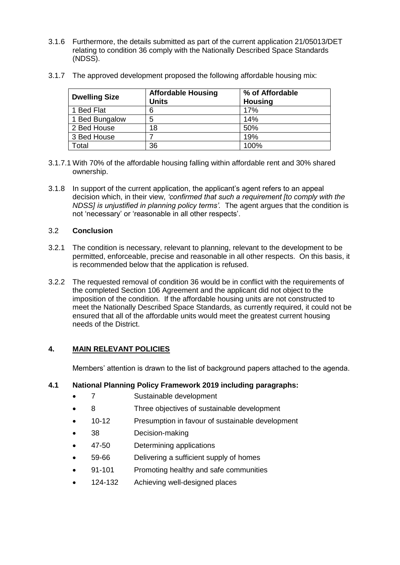3.1.6 Furthermore, the details submitted as part of the current application 21/05013/DET relating to condition 36 comply with the Nationally Described Space Standards (NDSS).

| <b>Dwelling Size</b> | <b>Affordable Housing</b><br>Units | % of Affordable<br><b>Housing</b> |
|----------------------|------------------------------------|-----------------------------------|
| <b>Bed Flat</b>      | 6                                  | 17%                               |
| 1 Bed Bungalow       | 5                                  | 14%                               |
| 2 Bed House          | 18                                 | 50%                               |
| 3 Bed House          |                                    | 19%                               |
| <b>Total</b>         | 36                                 | 100%                              |

3.1.7 The approved development proposed the following affordable housing mix:

- 3.1.7.1 With 70% of the affordable housing falling within affordable rent and 30% shared ownership.
- 3.1.8 In support of the current application, the applicant's agent refers to an appeal decision which, in their view, *'confirmed that such a requirement [to comply with the NDSS] is unjustified in planning policy terms'.* The agent argues that the condition is not 'necessary' or 'reasonable in all other respects'.

## 3.2 **Conclusion**

- 3.2.1 The condition is necessary, relevant to planning, relevant to the development to be permitted, enforceable, precise and reasonable in all other respects. On this basis, it is recommended below that the application is refused.
- 3.2.2 The requested removal of condition 36 would be in conflict with the requirements of the completed Section 106 Agreement and the applicant did not object to the imposition of the condition. If the affordable housing units are not constructed to meet the Nationally Described Space Standards, as currently required, it could not be ensured that all of the affordable units would meet the greatest current housing needs of the District.

## **4. MAIN RELEVANT POLICIES**

Members' attention is drawn to the list of background papers attached to the agenda.

## **4.1 National Planning Policy Framework 2019 including paragraphs:**

- 7 Sustainable development
- 8 Three objectives of sustainable development
- 10-12 Presumption in favour of sustainable development
- 38 Decision-making
- 47-50 Determining applications
- 59-66 Delivering a sufficient supply of homes
- 91-101 Promoting healthy and safe communities
- 124-132 Achieving well-designed places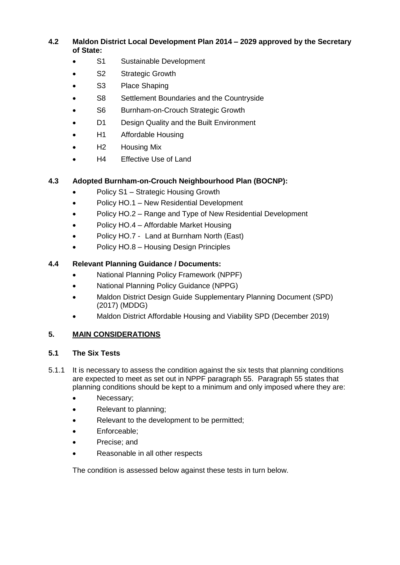**4.2 Maldon District Local Development Plan 2014 – 2029 approved by the Secretary of State:**

- S1 Sustainable Development
- S<sub>2</sub> Strategic Growth
- S3 Place Shaping
- S8 Settlement Boundaries and the Countryside
- S6 Burnham-on-Crouch Strategic Growth
- D1 Design Quality and the Built Environment
- H1 Affordable Housing
- H2 Housing Mix
- H4 Effective Use of Land

## **4.3 Adopted Burnham-on-Crouch Neighbourhood Plan (BOCNP):**

- Policy S1 Strategic Housing Growth
- Policy HO.1 New Residential Development
- Policy HO.2 Range and Type of New Residential Development
- Policy HO.4 Affordable Market Housing
- Policy HO.7 Land at Burnham North (East)
- Policy HO.8 Housing Design Principles

## **4.4 Relevant Planning Guidance / Documents:**

- National Planning Policy Framework (NPPF)
- National Planning Policy Guidance (NPPG)
- Maldon District Design Guide Supplementary Planning Document (SPD) (2017) (MDDG)
- Maldon District Affordable Housing and Viability SPD (December 2019)

# **5. MAIN CONSIDERATIONS**

## **5.1 The Six Tests**

- 5.1.1 It is necessary to assess the condition against the six tests that planning conditions are expected to meet as set out in NPPF paragraph 55. Paragraph 55 states that planning conditions should be kept to a minimum and only imposed where they are:
	- Necessary;
	- Relevant to planning:
	- Relevant to the development to be permitted;
	- Enforceable;
	- Precise; and
	- Reasonable in all other respects

The condition is assessed below against these tests in turn below.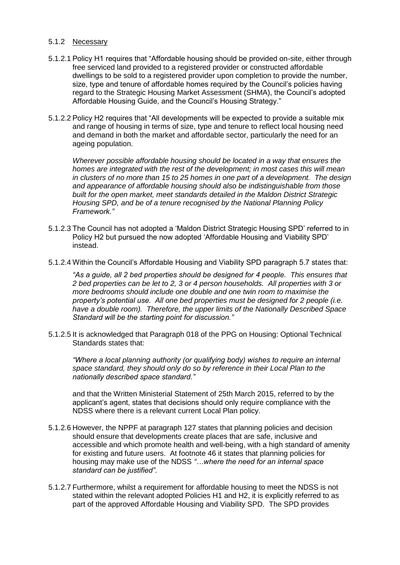#### 5.1.2 Necessary

- 5.1.2.1 Policy H1 requires that "Affordable housing should be provided on-site, either through free serviced land provided to a registered provider or constructed affordable dwellings to be sold to a registered provider upon completion to provide the number, size, type and tenure of affordable homes required by the Council's policies having regard to the Strategic Housing Market Assessment (SHMA), the Council's adopted Affordable Housing Guide, and the Council's Housing Strategy."
- 5.1.2.2 Policy H2 requires that "All developments will be expected to provide a suitable mix and range of housing in terms of size, type and tenure to reflect local housing need and demand in both the market and affordable sector, particularly the need for an ageing population.

*Wherever possible affordable housing should be located in a way that ensures the homes are integrated with the rest of the development; in most cases this will mean in clusters of no more than 15 to 25 homes in one part of a development. The design and appearance of affordable housing should also be indistinguishable from those built for the open market, meet standards detailed in the Maldon District Strategic Housing SPD, and be of a tenure recognised by the National Planning Policy Framework."* 

- 5.1.2.3 The Council has not adopted a 'Maldon District Strategic Housing SPD' referred to in Policy H2 but pursued the now adopted 'Affordable Housing and Viability SPD' instead.
- 5.1.2.4 Within the Council's Affordable Housing and Viability SPD paragraph 5.7 states that:

*"As a guide, all 2 bed properties should be designed for 4 people. This ensures that 2 bed properties can be let to 2, 3 or 4 person households. All properties with 3 or more bedrooms should include one double and one twin room to maximise the property's potential use. All one bed properties must be designed for 2 people (i.e. have a double room). Therefore, the upper limits of the Nationally Described Space Standard will be the starting point for discussion."* 

5.1.2.5 It is acknowledged that Paragraph 018 of the PPG on Housing: Optional Technical Standards states that:

*"Where a local planning authority (or qualifying body) wishes to require an internal space standard, they should only do so by reference in their Local Plan to the nationally described space standard."* 

and that the Written Ministerial Statement of 25th March 2015, referred to by the applicant's agent, states that decisions should only require compliance with the NDSS where there is a relevant current Local Plan policy.

- 5.1.2.6 However, the NPPF at paragraph 127 states that planning policies and decision should ensure that developments create places that are safe, inclusive and accessible and which promote health and well-being, with a high standard of amenity for existing and future users. At footnote 46 it states that planning policies for housing may make use of the NDSS *"…where the need for an internal space standard can be justified"*.
- 5.1.2.7 Furthermore, whilst a requirement for affordable housing to meet the NDSS is not stated within the relevant adopted Policies H1 and H2, it is explicitly referred to as part of the approved Affordable Housing and Viability SPD. The SPD provides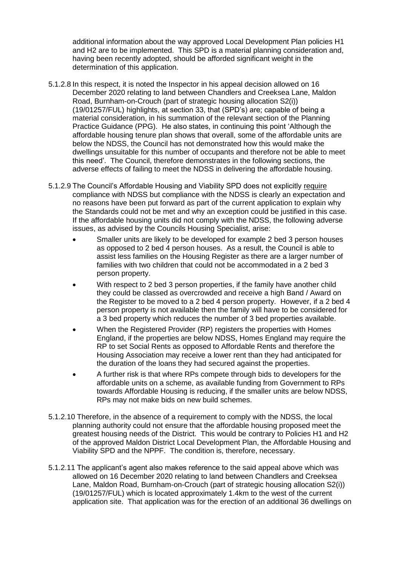additional information about the way approved Local Development Plan policies H1 and H2 are to be implemented. This SPD is a material planning consideration and, having been recently adopted, should be afforded significant weight in the determination of this application.

- 5.1.2.8 In this respect, it is noted the Inspector in his appeal decision allowed on 16 December 2020 relating to land between Chandlers and Creeksea Lane, Maldon Road, Burnham-on-Crouch (part of strategic housing allocation S2(i)) (19/01257/FUL) highlights, at section 33, that (SPD's) are; capable of being a material consideration, in his summation of the relevant section of the Planning Practice Guidance (PPG). He also states, in continuing this point 'Although the affordable housing tenure plan shows that overall, some of the affordable units are below the NDSS, the Council has not demonstrated how this would make the dwellings unsuitable for this number of occupants and therefore not be able to meet this need'. The Council, therefore demonstrates in the following sections, the adverse effects of failing to meet the NDSS in delivering the affordable housing.
- 5.1.2.9 The Council's Affordable Housing and Viability SPD does not explicitly require compliance with NDSS but compliance with the NDSS is clearly an expectation and no reasons have been put forward as part of the current application to explain why the Standards could not be met and why an exception could be justified in this case. If the affordable housing units did not comply with the NDSS, the following adverse issues, as advised by the Councils Housing Specialist, arise:
	- Smaller units are likely to be developed for example 2 bed 3 person houses as opposed to 2 bed 4 person houses. As a result, the Council is able to assist less families on the Housing Register as there are a larger number of families with two children that could not be accommodated in a 2 bed 3 person property.
	- With respect to 2 bed 3 person properties, if the family have another child they could be classed as overcrowded and receive a high Band / Award on the Register to be moved to a 2 bed 4 person property. However, if a 2 bed 4 person property is not available then the family will have to be considered for a 3 bed property which reduces the number of 3 bed properties available.
	- When the Registered Provider (RP) registers the properties with Homes England, if the properties are below NDSS, Homes England may require the RP to set Social Rents as opposed to Affordable Rents and therefore the Housing Association may receive a lower rent than they had anticipated for the duration of the loans they had secured against the properties.
	- A further risk is that where RPs compete through bids to developers for the affordable units on a scheme, as available funding from Government to RPs towards Affordable Housing is reducing, if the smaller units are below NDSS, RPs may not make bids on new build schemes.
- 5.1.2.10 Therefore, in the absence of a requirement to comply with the NDSS, the local planning authority could not ensure that the affordable housing proposed meet the greatest housing needs of the District. This would be contrary to Policies H1 and H2 of the approved Maldon District Local Development Plan, the Affordable Housing and Viability SPD and the NPPF. The condition is, therefore, necessary.
- 5.1.2.11 The applicant's agent also makes reference to the said appeal above which was allowed on 16 December 2020 relating to land between Chandlers and Creeksea Lane, Maldon Road, Burnham-on-Crouch (part of strategic housing allocation S2(i)) (19/01257/FUL) which is located approximately 1.4km to the west of the current application site. That application was for the erection of an additional 36 dwellings on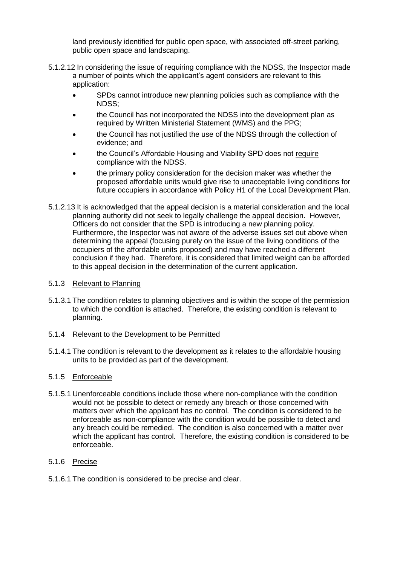land previously identified for public open space, with associated off-street parking, public open space and landscaping.

- 5.1.2.12 In considering the issue of requiring compliance with the NDSS, the Inspector made a number of points which the applicant's agent considers are relevant to this application:
	- SPDs cannot introduce new planning policies such as compliance with the NDSS;
	- the Council has not incorporated the NDSS into the development plan as required by Written Ministerial Statement (WMS) and the PPG;
	- the Council has not justified the use of the NDSS through the collection of evidence; and
	- the Council's Affordable Housing and Viability SPD does not require compliance with the NDSS.
	- the primary policy consideration for the decision maker was whether the proposed affordable units would give rise to unacceptable living conditions for future occupiers in accordance with Policy H1 of the Local Development Plan.
- 5.1.2.13 It is acknowledged that the appeal decision is a material consideration and the local planning authority did not seek to legally challenge the appeal decision. However, Officers do not consider that the SPD is introducing a new planning policy. Furthermore, the Inspector was not aware of the adverse issues set out above when determining the appeal (focusing purely on the issue of the living conditions of the occupiers of the affordable units proposed) and may have reached a different conclusion if they had. Therefore, it is considered that limited weight can be afforded to this appeal decision in the determination of the current application.

### 5.1.3 Relevant to Planning

5.1.3.1 The condition relates to planning objectives and is within the scope of the permission to which the condition is attached. Therefore, the existing condition is relevant to planning.

#### 5.1.4 Relevant to the Development to be Permitted

5.1.4.1 The condition is relevant to the development as it relates to the affordable housing units to be provided as part of the development.

### 5.1.5 Enforceable

5.1.5.1 Unenforceable conditions include those where non-compliance with the condition would not be possible to detect or remedy any breach or those concerned with matters over which the applicant has no control. The condition is considered to be enforceable as non-compliance with the condition would be possible to detect and any breach could be remedied. The condition is also concerned with a matter over which the applicant has control. Therefore, the existing condition is considered to be enforceable.

### 5.1.6 Precise

5.1.6.1 The condition is considered to be precise and clear.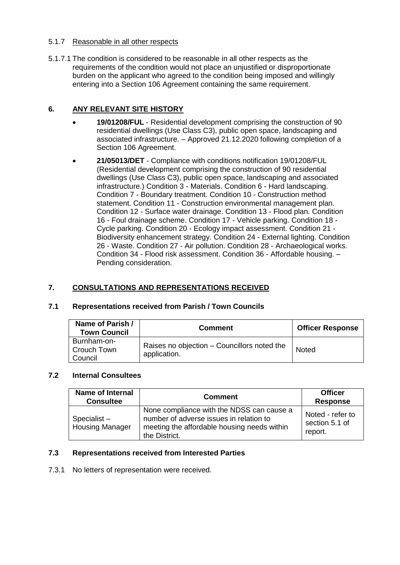### 5.1.7 Reasonable in all other respects

5.1.7.1 The condition is considered to be reasonable in all other respects as the requirements of the condition would not place an unjustified or disproportionate burden on the applicant who agreed to the condition being imposed and willingly entering into a Section 106 Agreement containing the same requirement.

## **6. ANY RELEVANT SITE HISTORY**

- **19/01208/FUL**  Residential development comprising the construction of 90 residential dwellings (Use Class C3), public open space, landscaping and associated infrastructure. – Approved 21.12.2020 following completion of a Section 106 Agreement.
- **21/05013/DET**  Compliance with conditions notification 19/01208/FUL (Residential development comprising the construction of 90 residential dwellings (Use Class C3), public open space, landscaping and associated infrastructure.) Condition 3 - Materials. Condition 6 - Hard landscaping. Condition 7 - Boundary treatment. Condition 10 - Construction method statement. Condition 11 - Construction environmental management plan. Condition 12 - Surface water drainage. Condition 13 - Flood plan. Condition 16 - Foul drainage scheme. Condition 17 - Vehicle parking. Condition 18 - Cycle parking. Condition 20 - Ecology impact assessment. Condition 21 - Biodiversity enhancement strategy. Condition 24 - External lighting. Condition 26 - Waste. Condition 27 - Air pollution. Condition 28 - Archaeological works. Condition 34 - Flood risk assessment. Condition 36 - Affordable housing. – Pending consideration.

## **7. CONSULTATIONS AND REPRESENTATIONS RECEIVED**

| Name of Parish /<br><b>Town Council</b> | <b>Comment</b>                                              | <b>Officer Response</b> |
|-----------------------------------------|-------------------------------------------------------------|-------------------------|
| Burnham-on-<br>Crouch Town<br>Council   | Raises no objection – Councillors noted the<br>application. | <b>Noted</b>            |

### **7.1 Representations received from Parish / Town Councils**

### **7.2 Internal Consultees**

| <b>Name of Internal</b><br><b>Consultee</b> | <b>Comment</b>                                                                                                                                       | <b>Officer</b><br><b>Response</b>             |
|---------------------------------------------|------------------------------------------------------------------------------------------------------------------------------------------------------|-----------------------------------------------|
| Specialist-<br><b>Housing Manager</b>       | None compliance with the NDSS can cause a<br>number of adverse issues in relation to<br>meeting the affordable housing needs within<br>the District. | Noted - refer to<br>section 5.1 of<br>report. |

### **7.3 Representations received from Interested Parties**

7.3.1 No letters of representation were received.